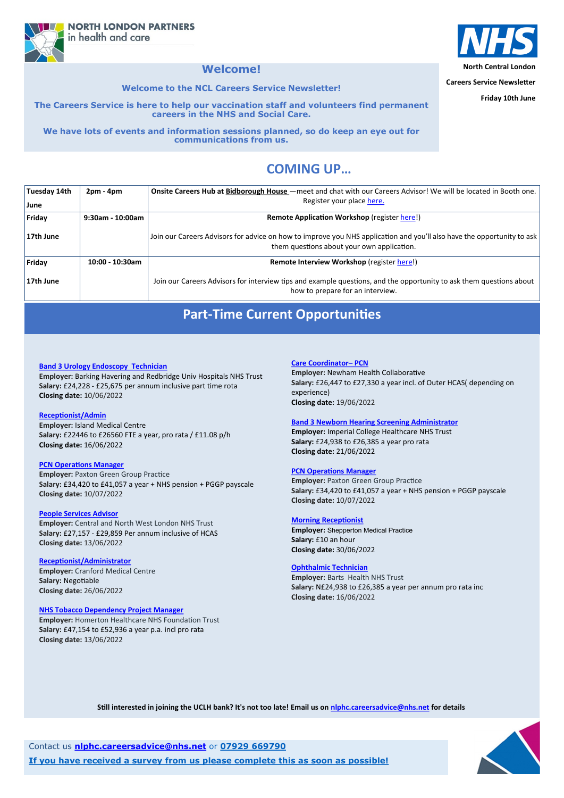**North Central London**

**Careers Service Newsletter**

**Friday 10th June**

## **COMING UP…**

**NORTH LONDON PARTNERS** in health and care

## **Welcome!**

**Welcome to the NCL Careers Service Newsletter!**

**The Careers Service is here to help our vaccination staff and volunteers find permanent careers in the NHS and Social Care.** 

**We have lots of events and information sessions planned, so do keep an eye out for communications from us.**

| Tuesday 14th | $2pm - 4pm$      | Onsite Careers Hub at Bidborough House – meet and chat with our Careers Advisor! We will be located in Booth one.                                                    |
|--------------|------------------|----------------------------------------------------------------------------------------------------------------------------------------------------------------------|
| June         |                  | Register your place here.                                                                                                                                            |
| Friday       | 9:30am - 10:00am | <b>Remote Application Workshop (register here!)</b>                                                                                                                  |
| 17th June    |                  | Join our Careers Advisors for advice on how to improve you NHS application and you'll also have the opportunity to ask<br>them questions about your own application. |
| Friday       | 10:00 - 10:30am  | Remote Interview Workshop (register here!)                                                                                                                           |
| 17th June    |                  | Join our Careers Advisors for interview tips and example questions, and the opportunity to ask them questions about<br>how to prepare for an interview.              |

Contact us **[nlphc.careersadvice@nhs.net](mailto:nlphc.careersadvice@nhs.net)** or **07929 669790**

**If you have received a survey from us please complete this as soon as possible!**



## **Part-Time Current Opportunities**

#### **[Care Coordinator–](https://beta.jobs.nhs.uk/candidate/jobadvert/E0006-22-3959) PCN**

**Employer:** Newham Health Collaborative **Salary:** £26,447 to £27,330 a year incl. of Outer HCAS( depending on experience) **Closing date:** 19/06/2022

#### **[Band 3 Newborn Hearing Screening Administrator](https://beta.jobs.nhs.uk/candidate/jobadvert/C9290-22-2990)**

**Employer:** Imperial College Healthcare NHS Trust **Salary:** £24,938 to £26,385 a year pro rata **Closing date:** 21/06/2022

#### **[PCN Operations Manager](https://beta.jobs.nhs.uk/candidate/jobadvert/A0322-22-6777a)**

**Employer:** Paxton Green Group Practice **Salary:** £34,420 to £41,057 a year + NHS pension + PGGP payscale **Closing date:** 10/07/2022

#### **[Morning Receptionist](https://beta.jobs.nhs.uk/candidate/jobadvert/A0193-22-1772)**

**Employer:** Shepperton Medical Practice **Salary:** £10 an hour **Closing date:** 30/06/2022

#### **[Ophthalmic Technician](https://beta.jobs.nhs.uk/candidate/jobadvert/C9259-22-6428)**

**Employer:** Barts Health NHS Trust **Salary:** N£24,938 to £26,385 a year per annum pro rata inc **Closing date:** 16/06/2022



**Still interested in joining the UCLH bank? It's not too late! Email us on [nlphc.careersadvice@nhs.net](mailto:nlphc.careersadvice@nhs.net) for details**

#### **[Band 3 Urology Endoscopy Technician](https://www.healthjobsuk.com/job/UK/London/Romford/Barking_Havering_Redbridge_Univ_Hospitals_NHS_Trust/Surgery/Surgery-v4261683?_ts=130013)**

**Employer:** Barking Havering and Redbridge Univ Hospitals NHS Trust **Salary:** £24,228 - £25,675 per annum inclusive part time rota **Closing date:** 10/06/2022

#### **[Receptionist/Admin](https://beta.jobs.nhs.uk/candidate/jobadvert/A1199-22-5366)**

**Employer:** Island Medical Centre **Salary:** £22446 to £26560 FTE a year, pro rata / £11.08 p/h **Closing date:** 16/06/2022

#### **[PCN Operations Manager](https://beta.jobs.nhs.uk/candidate/jobadvert/A0322-22-6777a)**

**Employer:** Paxton Green Group Practice **Salary:** £34,420 to £41,057 a year + NHS pension + PGGP payscale **Closing date:** 10/07/2022

#### **[People Services Advisor](https://beta.jobs.nhs.uk/candidate/jobadvert/C9333-22-4429)**

**Employer:** Central and North West London NHS Trust **Salary:** £27,157 - £29,859 Per annum inclusive of HCAS **Closing date:** 13/06/2022

#### **[Receptionist/Administrator](https://beta.jobs.nhs.uk/candidate/jobadvert/A4051-22-4386)**

**Employer:** Cranford Medical Centre **Salary:** Negotiable **Closing date:** 26/06/2022

#### **[NHS Tobacco Dependency Project Manager](https://beta.jobs.nhs.uk/candidate/jobadvert/C9293-22-1344)**

**Employer:** Homerton Healthcare NHS Foundation Trust **Salary:** £47,154 to £52,936 a year p.a. incl pro rata **Closing date:** 13/06/2022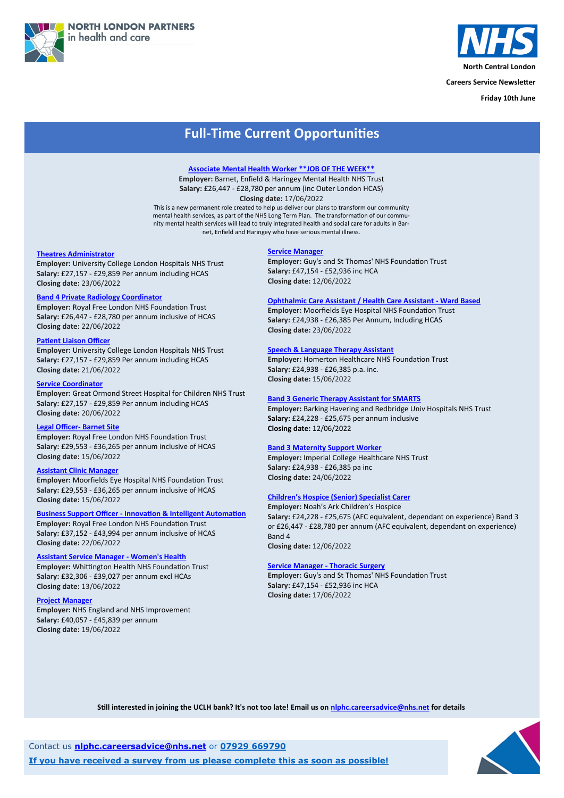



**North Central London**

**Careers Service Newsletter**

**Friday 10th June**

Contact us **[nlphc.careersadvice@nhs.net](mailto:nlphc.careersadvice@nhs.net)** or **07929 669790**

**If you have received a survey from us please complete this as soon as possible!**



## **Full-Time Current Opportunities**

#### **[Theatres Administrator](https://www.healthjobsuk.com/job/UK/London/London/University_College_London_Hospitals_NHS_Foundation_Trust/Adminstration/Adminstration-v4264586?_ts=18981)**

**Employer:** University College London Hospitals NHS Trust **Salary:** £27,157 - £29,859 Per annum including HCAS **Closing date:** 23/06/2022

#### **[Band 4 Private Radiology Coordinator](https://www.healthjobsuk.com/job/UK/London/Barnet/Royal_Free_London_NHS_Foundation_Trust/Private_Patients_Division/Private_Patients_Division-v4248618?_ts=38332)**

**Employer:** Royal Free London NHS Foundation Trust **Salary:** £26,447 - £28,780 per annum inclusive of HCAS **Closing date:** 22/06/2022

#### **[Patient Liaison Officer](https://www.healthjobsuk.com/job/UK/London/London/University_College_London_Hospitals_NHS_Foundation_Trust/Nuclear_Medicine/Nuclear_Medicine-v4243649?_ts=41287)**

**Employer:** University College London Hospitals NHS Trust **Salary:** £27,157 - £29,859 Per annum including HCAS **Closing date:** 21/06/2022

#### **[Service Coordinator](https://www.healthjobsuk.com/job/UK/London/London/Great_Ormond_Street_Hospital_Children_NHS_Foundation_Trust/Neurology/Neurology-v4267906?_ts=45401)**

**Employer:** Great Ormond Street Hospital for Children NHS Trust **Salary:** £27,157 - £29,859 Per annum including HCAS **Closing date:** 20/06/2022

#### **[Legal Officer](https://www.healthjobsuk.com/job/UK/London/London/Royal_Free_London_NHS_Foundation_Trust/Legal_services/Legal_services-v4144299?_ts=62216)- Barnet Site**

**Employer:** Royal Free London NHS Foundation Trust **Salary:** £29,553 - £36,265 per annum inclusive of HCAS **Closing date:** 15/06/2022

#### **[Assistant Clinic Manager](https://www.healthjobsuk.com/job/UK/London/London/Moorfields_Eye_Hospital_NHS_Foundation_Trust/Opthalmolgy/Opthalmolgy-v4243139?_ts=67404)**

**Employer:** Moorfields Eye Hospital NHS Foundation Trust **Salary:** £29,553 - £36,265 per annum inclusive of HCAS **Closing date:** 15/06/2022

**Business Support Officer - [Innovation & Intelligent Automation](https://www.healthjobsuk.com/job/UK/London/Enfield/Royal_Free_London_NHS_Foundation_Trust/Business_Support_Officer_Innovation_Intelligent_Automation/Business_Support_Officer_Innovation_Intelligent_Automation-v4274944?_ts=76256) Employer:** Royal Free London NHS Foundation Trust **Salary:** £37,152 - £43,994 per annum inclusive of HCAS **Closing date:** 22/06/2022

#### **[Assistant Service Manager](https://www.healthjobsuk.com/job/UK/London/London/Whittington_Health_NHS_Trust/Womens_Health/Womens_Health-v4227384?_ts=86537) - Women's Health**

**Employer:** Whittington Health NHS Foundation Trust **Salary:** £32,306 - £39,027 per annum excl HCAs **Closing date:** 13/06/2022

#### **[Project Manager](https://www.healthjobsuk.com/job/UK/West_Yorkshire/London/NHS_England_NHS_Improvement/Administration/Administration-v4235046?_ts=92190)**

**Employer:** NHS England and NHS Improvement **Salary:** £40,057 - £45,839 per annum **Closing date:** 19/06/2022

#### **[Service Manager](https://www.healthjobsuk.com/job/UK/London/London/Guys_St_Thomas_NHS_Foundation_Trust/Acute_General_Medicine/Acute_General_Medicine-v4239807?_ts=97253)**

**Employer:** Guy's and St Thomas' NHS Foundation Trust **Salary:** £47,154 - £52,936 inc HCA **Closing date:** 12/06/2022

#### **[Ophthalmic Care Assistant / Health Care Assistant](https://www.healthjobsuk.com/job/UK/London/London/Moorfields_Eye_Hospital_NHS_Foundation_Trust/Opthamology/Opthamology-v4280784?_ts=104803) - Ward Based**

**Employer:** Moorfields Eye Hospital NHS Foundation Trust **Salary:** £24,938 - £26,385 Per Annum, Including HCAS **Closing date:** 23/06/2022

#### **[Speech & Language Therapy Assistant](https://www.healthjobsuk.com/job/UK/London/London/Homerton_Healthcare_NHS_Foundation_Trust/Speech_Language/Speech_Language-v4158440?_ts=106955)**

**Employer:** Homerton Healthcare NHS Foundation Trust **Salary:** £24,938 - £26,385 p.a. inc. **Closing date:** 15/06/2022

#### **[Band 3 Generic Therapy Assistant for SMARTS](https://www.healthjobsuk.com/job/UK/London/Ilford/Barking_Havering_Redbridge_Univ_Hospitals_NHS_Trust/CCS/CCS-v4262193?_ts=110536)**

**Employer:** Barking Havering and Redbridge Univ Hospitals NHS Trust **Salary:** £24,228 - £25,675 per annum inclusive **Closing date:** 12/06/2022

#### **[Band 3 Maternity Support Worker](https://www.healthjobsuk.com/job/UK/London/London/Imperial_College_Healthcare_NHS_Trust/Maternity_Support_Worker/Maternity_Support_Worker-v4282884?_ts=115920)**

**Employer:** Imperial College Healthcare NHS Trust **Salary:** £24,938 - £26,385 pa inc **Closing date:** 24/06/2022

#### **Children'[s Hospice \(Senior\) Specialist Carer](https://www.healthjobsuk.com/job/UK/London/London/Noahs_Ark_Childrens_Hospice/Family_Link_Social_Worker/Family_Link_Social_Worker-v4246821?_ts=930327)**

**Employer:** Noah's Ark Children's Hospice **Salary:** £24,228 - £25,675 (AFC equivalent, dependant on experience) Band 3 or £26,447 - £28,780 per annum (AFC equivalent, dependant on experience) Band 4 **Closing date:** 12/06/2022

#### **[Service Manager](https://www.healthjobsuk.com/job/UK/London/London/Guys_St_Thomas_NHS_Foundation_Trust/Thoracic_Surgery/Thoracic_Surgery-v4246617?_ts=94871) - Thoracic Surgery**

**Employer:** Guy's and St Thomas' NHS Foundation Trust **Salary:** £47,154 - £52,936 inc HCA **Closing date:** 17/06/2022

**Still interested in joining the UCLH bank? It's not too late! Email us on [nlphc.careersadvice@nhs.net](mailto:nlphc.careersadvice@nhs.net) for details**

#### **[Associate Mental Health Worker \\*\\*JOB OF THE WEEK\\*\\*](https://www.healthjobsuk.com/job/UK/London/London/Barnet_Enfield_Haringey_Mental_Health_NHS_Trust/Mental_Health/Mental_Health-v4263154?_ts=48598)**

**Employer:** Barnet, Enfield & Haringey Mental Health NHS Trust **Salary:** £26,447 - £28,780 per annum (inc Outer London HCAS) **Closing date:** 17/06/2022

This is a new permanent role created to help us deliver our plans to transform our community mental health services, as part of the NHS Long Term Plan. The transformation of our community mental health services will lead to truly integrated health and social care for adults in Barnet, Enfield and Haringey who have serious mental illness.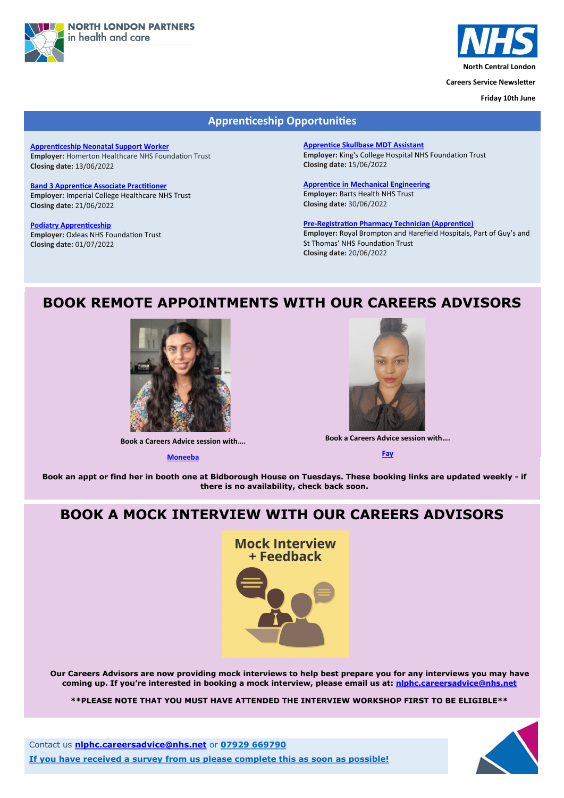



**North Central London**

**Careers Service Newsletter**

**Friday 10th June**

Contact us **[nlphc.careersadvice@nhs.net](mailto:nlphc.careersadvice@nhs.net)** or **07929 669790**

**If you have received a survey from us please complete this as soon as possible!**



## **BOOK REMOTE APPOINTMENTS WITH OUR CAREERS ADVISORS**



**Book a Careers Advice session with….**

**[Moneeba](https://calendly.com/nlphc-careersadvice/careers-advice-session-moneeba)**



**Book an appt or find her in booth one at Bidborough House on Tuesdays. These booking links are updated weekly - if there is no availability, check back soon.**

## **Apprenticeship Opportunities**

**[Apprenticeship Neonatal Support Worker](https://beta.jobs.nhs.uk/candidate/jobadvert/C9293-22-3525) Employer:** Homerton Healthcare NHS Foundation Trust **Closing date:** 13/06/2022

**[Band 3 Apprentice Associate Practitioner](https://www.healthjobsuk.com/job/UK/London/London/Imperial_College_Healthcare_NHS_Trust/Specialist_Surgery/Specialist_Surgery-v4253539?_ts=106955) Employer:** Imperial College Healthcare NHS Trust **Closing date:** 21/06/2022

**[Podiatry Apprenticeship](https://www.healthjobsuk.com/job/UK/London/Kidbrooke/Oxleas_NHS_Foundation_Trust/Podiatry/Podiatry-v4283266?_ts=320331) Employer:** Oxleas NHS Foundation Trust **Closing date:** 01/07/2022

**[Apprentice Skullbase MDT Assistant](https://www.healthjobsuk.com/job/UK/London/London/Kings_College_Hospital_NHS_Foundation_Trust/Neurosurgery/Neurosurgery-v4226835?_ts=322411) Employer:** King's College Hospital NHS Foundation Trust **[Cl](https://www.healthjobsuk.com/job/UK/London/London/Barts_Health_NHS_Trust/Engineering/Engineering-v4224903?_ts=324582)osing date:** 15/06/2022

**[Apprentice in Mechanical Engineering](https://www.healthjobsuk.com/job/UK/London/London/Barts_Health_NHS_Trust/Engineering/Engineering-v4224903?_ts=324582) Employer:** Barts Health NHS Trust **Closing date:** 30/06/2022

**Pre-[Registration Pharmacy Technician \(Apprentice\)](https://www.jobs.nhs.uk/xi/vacancy/917259635) Employer:** Royal Brompton and Harefield Hospitals, Part of Guy's and St Thomas' NHS Foundation Trust **Closing date:** 20/06/2022

**Book a Careers Advice session with….**

**[Fay](https://calendly.com/nlphc-careersadvice/careers-advice-session-fay)**

## **BOOK A MOCK INTERVIEW WITH OUR CAREERS ADVISORS**

**Mock Interview** + Feedback



**Our Careers Advisors are now providing mock interviews to help best prepare you for any interviews you may have coming up. If you're interested in booking a mock interview, please email us at: [nlphc.careersadvice@nhs.net](mailto:nlphc.careersadvice@nhs.net)**

**\*\*PLEASE NOTE THAT YOU MUST HAVE ATTENDED THE INTERVIEW WORKSHOP FIRST TO BE ELIGIBLE\*\***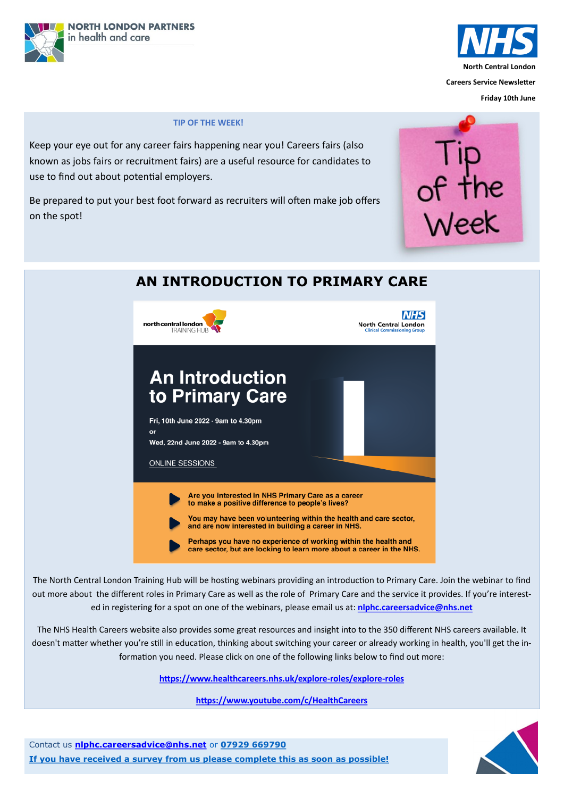



**Friday 10th June**

Contact us **[nlphc.careersadvice@nhs.net](mailto:nlphc.careersadvice@nhs.net)** or **07929 669790**

**If you have received a survey from us please complete this as soon as possible!**



### **TIP OF THE WEEK!**

Keep your eye out for any career fairs happening near you! Careers fairs (also known as jobs fairs or recruitment fairs) are a useful resource for candidates to use to find out about potential employers.

Be prepared to put your best foot forward as recruiters will often make job offers on the spot!





# **AN INTRODUCTION TO PRIMARY CARE**

The North Central London Training Hub will be hosting webinars providing an introduction to Primary Care. Join the webinar to find out more about the different roles in Primary Care as well as the role of Primary Care and the service it provides. If you're interest-

ed in registering for a spot on one of the webinars, please email us at: **[nlphc.careersadvice@nhs.net](mailto:nlphc.careersadvice@nhs.net)**

The NHS Health Careers website also provides some great resources and insight into to the 350 different NHS careers available. It doesn't matter whether you're still in education, thinking about switching your career or already working in health, you'll get the information you need. Please click on one of the following links below to find out more:

**[https://www.healthcareers.nhs.uk/explore](https://www.healthcareers.nhs.uk/explore-roles/explore-roles)-roles/explore-roles**

**<https://www.youtube.com/c/HealthCareers>**